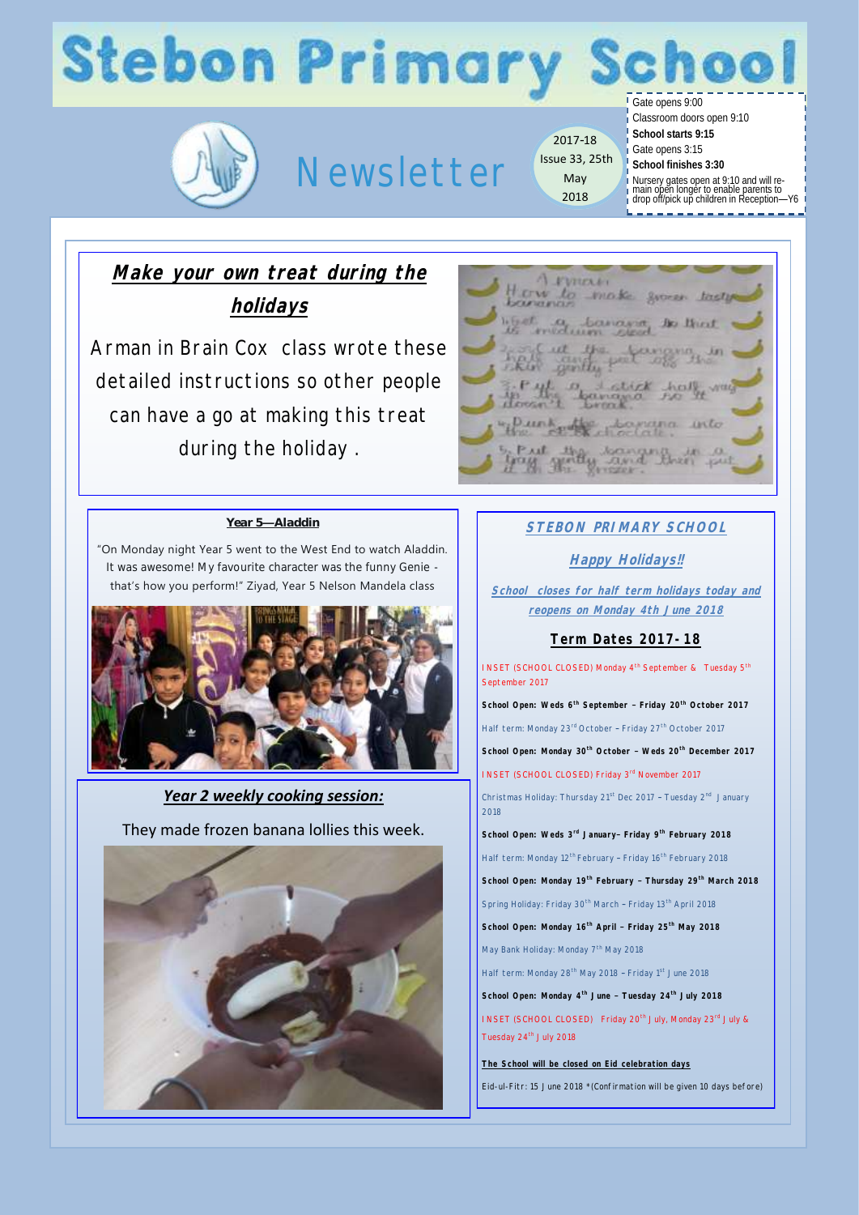# **Stebon Primary School**



## Newsletter

2017-18 Issue 33, 25th May 2018

Gate opens 9:00

Classroom doors open 9:10

- **School starts 9:15**
- Gate opens 3:15 **School finishes 3:30**
	-
- Nursery gates open at 9:10 and will re-main open longer to enable parents to drop off/pick up children in Reception—Y6

Make your own treat during the

**holidays**

Arman in Brain Cox class wrote these detailed instructions so other people can have a go at making this treat during the holiday .

### *Year 5—Aladdin*

"On Monday night Year 5 went to the West End to watch Aladdin. It was awesome! My favourite character was the funny Genie that's how you perform!" Ziyad, Year 5 Nelson Mandela class



*Year 2 weekly cooking session:* 

They made frozen banana lollies this week.





### **STEBON PRIMARY SCHOOL**

### **Happy Holidays!!**

**School closes for half term holidays today and reopens on Monday 4th June 2018**

### **Term Dates 2017-18**

INSET (SCHOOL CLOSED) Monday 4<sup>th</sup> September & Tuesday 5<sup>th</sup> September 2017

**School Open: Weds 6th September – Friday 20th October 2017** Half term: Monday 23<sup>rd</sup> October - Friday 27<sup>th</sup> October 2017 **School Open: Monday 30th October – Weds 20th December 2017**  INSET (SCHOOL CLOSED) Friday 3rd November 2017

Christmas Holiday: Thursday 21<sup>st</sup> Dec 2017 - Tuesday 2<sup>nd</sup> January 2018

**School Open: Weds 3rd January– Friday 9th February 2018** Half term: Monday 12<sup>th</sup> February - Friday 16<sup>th</sup> February 2018 **School Open: Monday 19th February – Thursday 29th March 2018** Spring Holiday: Friday 30<sup>th</sup> March - Friday 13<sup>th</sup> April 2018 **School Open: Monday 16th April – Friday 25th May 2018** May Bank Holiday: Monday 7<sup>th</sup> May 2018 Half term: Monday 28<sup>th</sup> May 2018 - Friday 1<sup>st</sup> June 2018

**School Open: Monday 4th June – Tuesday 24th July 2018**

INSET (SCHOOL CLOSED) Friday 20<sup>th</sup> July, Monday 23<sup>rd</sup> July & Tuesday 24<sup>th</sup> July 2018

**The School will be closed on Eid celebration days** Eid-ul-Fitr: 15 June 2018 \*(Confirmation will be given 10 days before)